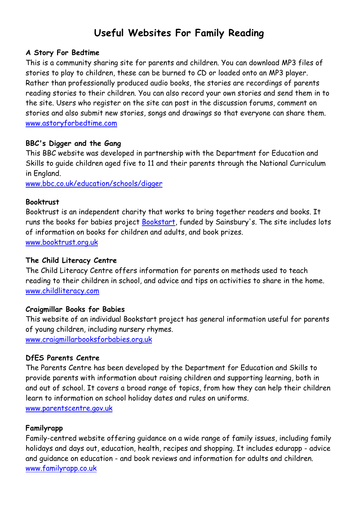# Useful Websites For Family Reading

#### A Story For Bedtime

This is a community sharing site for parents and children. You can download MP3 files of stories to play to children, these can be burned to CD or loaded onto an MP3 player. Rather than professionally produced audio books, the stories are recordings of parents reading stories to their children. You can also record your own stories and send them in to the site. Users who register on the site can post in the discussion forums, comment on stories and also submit new stories, songs and drawings so that everyone can share them. www.astoryforbedtime.com

#### BBC's Digger and the Gang

This BBC website was developed in partnership with the Department for Education and Skills to guide children aged five to 11 and their parents through the National Curriculum in England.

www.bbc.co.uk/education/schools/digger

#### **Booktrust**

Booktrust is an independent charity that works to bring together readers and books. It runs the books for babies project Bookstart, funded by Sainsbury's. The site includes lots of information on books for children and adults, and book prizes. www.booktrust.org.uk

#### The Child Literacy Centre

The Child Literacy Centre offers information for parents on methods used to teach reading to their children in school, and advice and tips on activities to share in the home. www.childliteracy.com

#### Craigmillar Books for Babies

This website of an individual Bookstart project has general information useful for parents of young children, including nursery rhymes. www.craigmillarbooksforbabies.org.uk

#### DfES Parents Centre

The Parents Centre has been developed by the Department for Education and Skills to provide parents with information about raising children and supporting learning, both in and out of school. It covers a broad range of topics, from how they can help their children learn to information on school holiday dates and rules on uniforms. www.parentscentre.gov.uk

#### Familyrapp

Family-centred website offering guidance on a wide range of family issues, including family holidays and days out, education, health, recipes and shopping. It includes edurapp - advice and guidance on education - and book reviews and information for adults and children. www.familyrapp.co.uk